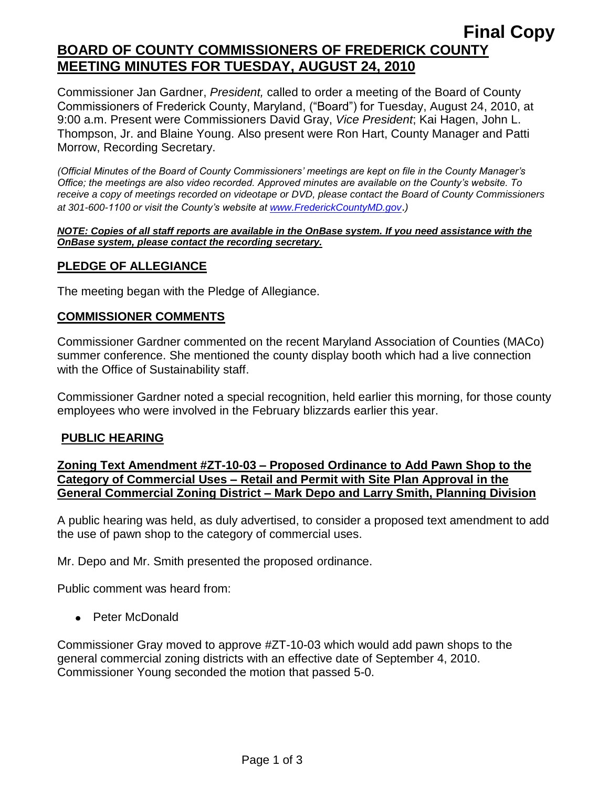## **Final Copy BOARD OF COUNTY COMMISSIONERS OF FREDERICK COUNTY MEETING MINUTES FOR TUESDAY, AUGUST 24, 2010**

Commissioner Jan Gardner, *President,* called to order a meeting of the Board of County Commissioners of Frederick County, Maryland, ("Board") for Tuesday, August 24, 2010, at 9:00 a.m. Present were Commissioners David Gray, *Vice President*; Kai Hagen, John L. Thompson, Jr. and Blaine Young. Also present were Ron Hart, County Manager and Patti Morrow, Recording Secretary.

*(Official Minutes of the Board of County Commissioners' meetings are kept on file in the County Manager's Office; the meetings are also video recorded. Approved minutes are available on the County's website. To receive a copy of meetings recorded on videotape or DVD, please contact the Board of County Commissioners at 301-600-1100 or visit the County's website at [www.FrederickCountyMD.gov](http://www.frederickcountymd.gov/)*.*)*

#### *NOTE: Copies of all staff reports are available in the OnBase system. If you need assistance with the OnBase system, please contact the recording secretary.*

## **PLEDGE OF ALLEGIANCE**

The meeting began with the Pledge of Allegiance.

#### **COMMISSIONER COMMENTS**

Commissioner Gardner commented on the recent Maryland Association of Counties (MACo) summer conference. She mentioned the county display booth which had a live connection with the Office of Sustainability staff.

Commissioner Gardner noted a special recognition, held earlier this morning, for those county employees who were involved in the February blizzards earlier this year.

#### **PUBLIC HEARING**

**Zoning Text Amendment #ZT-10-03 – Proposed Ordinance to Add Pawn Shop to the Category of Commercial Uses – Retail and Permit with Site Plan Approval in the General Commercial Zoning District – Mark Depo and Larry Smith, Planning Division**

A public hearing was held, as duly advertised, to consider a proposed text amendment to add the use of pawn shop to the category of commercial uses.

Mr. Depo and Mr. Smith presented the proposed ordinance.

Public comment was heard from:

• Peter McDonald

Commissioner Gray moved to approve #ZT-10-03 which would add pawn shops to the general commercial zoning districts with an effective date of September 4, 2010. Commissioner Young seconded the motion that passed 5-0.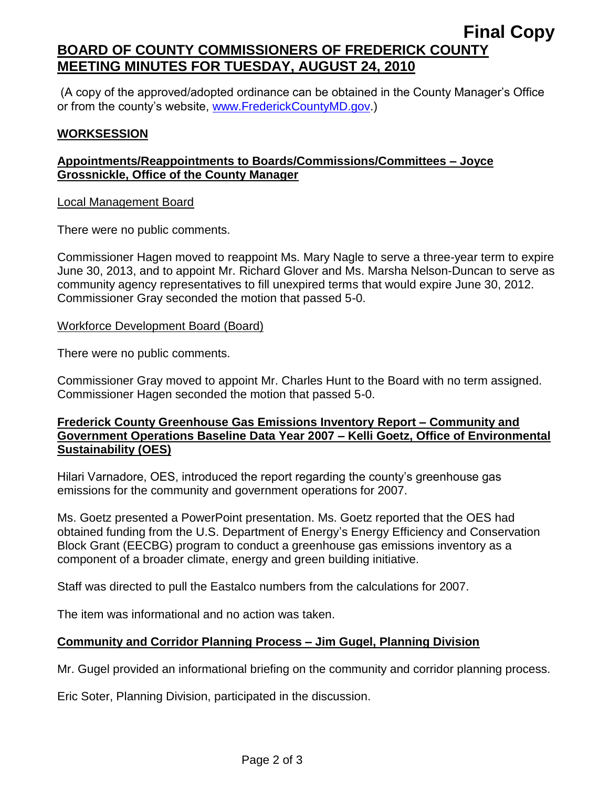# **BOARD OF COUNTY COMMISSIONERS OF FREDERICK COUNTY MEETING MINUTES FOR TUESDAY, AUGUST 24, 2010**

(A copy of the approved/adopted ordinance can be obtained in the County Manager's Office or from the county's website, [www.FrederickCountyMD.gov.](http://www.frederickcountymd.gov/))

### **WORKSESSION**

## **Appointments/Reappointments to Boards/Commissions/Committees – Joyce Grossnickle, Office of the County Manager**

#### Local Management Board

There were no public comments.

Commissioner Hagen moved to reappoint Ms. Mary Nagle to serve a three-year term to expire June 30, 2013, and to appoint Mr. Richard Glover and Ms. Marsha Nelson-Duncan to serve as community agency representatives to fill unexpired terms that would expire June 30, 2012. Commissioner Gray seconded the motion that passed 5-0.

#### Workforce Development Board (Board)

There were no public comments.

Commissioner Gray moved to appoint Mr. Charles Hunt to the Board with no term assigned. Commissioner Hagen seconded the motion that passed 5-0.

## **Frederick County Greenhouse Gas Emissions Inventory Report – Community and Government Operations Baseline Data Year 2007 – Kelli Goetz, Office of Environmental Sustainability (OES)**

Hilari Varnadore, OES, introduced the report regarding the county's greenhouse gas emissions for the community and government operations for 2007.

Ms. Goetz presented a PowerPoint presentation. Ms. Goetz reported that the OES had obtained funding from the U.S. Department of Energy's Energy Efficiency and Conservation Block Grant (EECBG) program to conduct a greenhouse gas emissions inventory as a component of a broader climate, energy and green building initiative.

Staff was directed to pull the Eastalco numbers from the calculations for 2007.

The item was informational and no action was taken.

## **Community and Corridor Planning Process – Jim Gugel, Planning Division**

Mr. Gugel provided an informational briefing on the community and corridor planning process.

Eric Soter, Planning Division, participated in the discussion.